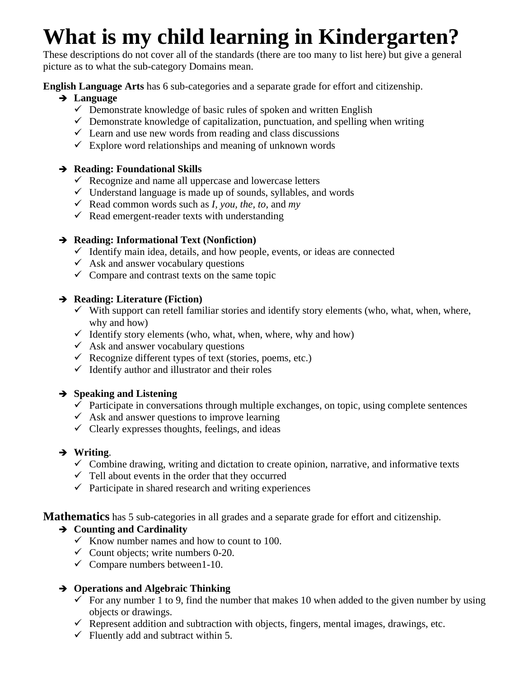# **What is my child learning in Kindergarten?**

These descriptions do not cover all of the standards (there are too many to list here) but give a general picture as to what the sub-category Domains mean.

**English Language Arts** has 6 sub-categories and a separate grade for effort and citizenship.

# **Language**

- $\checkmark$  Demonstrate knowledge of basic rules of spoken and written English
- $\checkmark$  Demonstrate knowledge of capitalization, punctuation, and spelling when writing
- $\checkmark$  Learn and use new words from reading and class discussions
- $\checkmark$  Explore word relationships and meaning of unknown words

# **Reading: Foundational Skills**

- $\checkmark$  Recognize and name all uppercase and lowercase letters
- $\checkmark$  Understand language is made up of sounds, syllables, and words
- Read common words such as *I*, you, the, to, and my
- $\checkmark$  Read emergent-reader texts with understanding

# **Reading: Informational Text (Nonfiction)**

- $\checkmark$  Identify main idea, details, and how people, events, or ideas are connected
- $\checkmark$  Ask and answer vocabulary questions
- $\checkmark$  Compare and contrast texts on the same topic

# **Reading: Literature (Fiction)**

- $\checkmark$  With support can retell familiar stories and identify story elements (who, what, when, where, why and how)
- $\checkmark$  Identify story elements (who, what, when, where, why and how)
- $\checkmark$  Ask and answer vocabulary questions
- Recognize different types of text (stories, poems, etc.)
- $\checkmark$  Identify author and illustrator and their roles

# **Speaking and Listening**

- $\checkmark$  Participate in conversations through multiple exchanges, on topic, using complete sentences
- $\checkmark$  Ask and answer questions to improve learning
- $\checkmark$  Clearly expresses thoughts, feelings, and ideas

# **Writing**.

- $\checkmark$  Combine drawing, writing and dictation to create opinion, narrative, and informative texts
- $\checkmark$  Tell about events in the order that they occurred
- $\checkmark$  Participate in shared research and writing experiences

**Mathematics** has 5 sub-categories in all grades and a separate grade for effort and citizenship.

# **Counting and Cardinality**

- $\checkmark$  Know number names and how to count to 100.
- $\checkmark$  Count objects; write numbers 0-20.
- $\checkmark$  Compare numbers between1-10.

# **Operations and Algebraic Thinking**

- $\checkmark$  For any number 1 to 9, find the number that makes 10 when added to the given number by using objects or drawings.
- $\checkmark$  Represent addition and subtraction with objects, fingers, mental images, drawings, etc.
- $\checkmark$  Fluently add and subtract within 5.